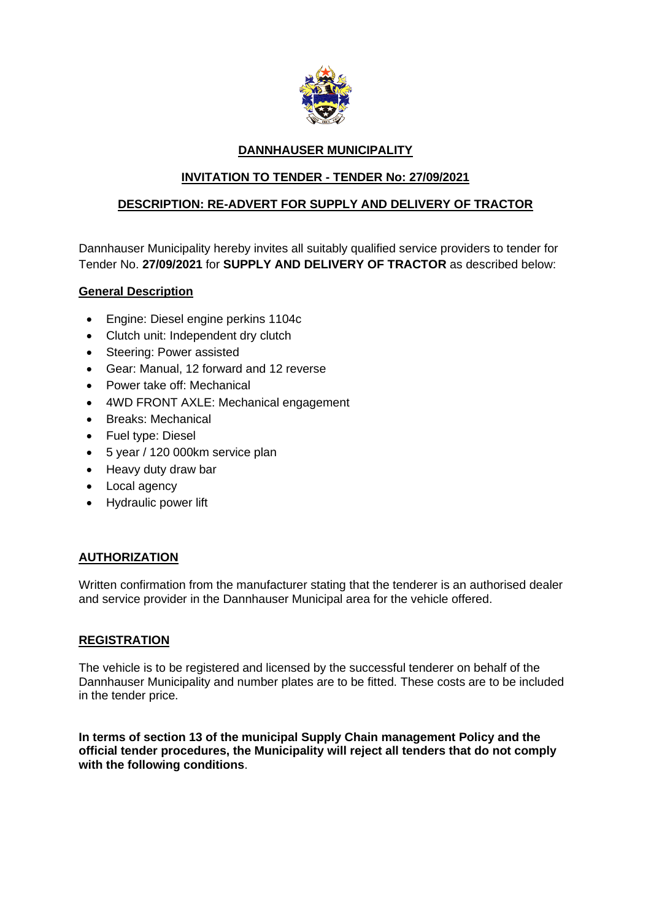

## **DANNHAUSER MUNICIPALITY**

# **INVITATION TO TENDER - TENDER No: 27/09/2021**

# **DESCRIPTION: RE-ADVERT FOR SUPPLY AND DELIVERY OF TRACTOR**

Dannhauser Municipality hereby invites all suitably qualified service providers to tender for Tender No. **27/09/2021** for **SUPPLY AND DELIVERY OF TRACTOR** as described below:

## **General Description**

- Engine: Diesel engine perkins 1104c
- Clutch unit: Independent dry clutch
- Steering: Power assisted
- Gear: Manual, 12 forward and 12 reverse
- Power take off: Mechanical
- 4WD FRONT AXLE: Mechanical engagement
- Breaks: Mechanical
- Fuel type: Diesel
- 5 year / 120 000km service plan
- Heavy duty draw bar
- Local agency
- Hydraulic power lift

### **AUTHORIZATION**

Written confirmation from the manufacturer stating that the tenderer is an authorised dealer and service provider in the Dannhauser Municipal area for the vehicle offered.

### **REGISTRATION**

The vehicle is to be registered and licensed by the successful tenderer on behalf of the Dannhauser Municipality and number plates are to be fitted. These costs are to be included in the tender price.

**In terms of section 13 of the municipal Supply Chain management Policy and the official tender procedures, the Municipality will reject all tenders that do not comply with the following conditions**.